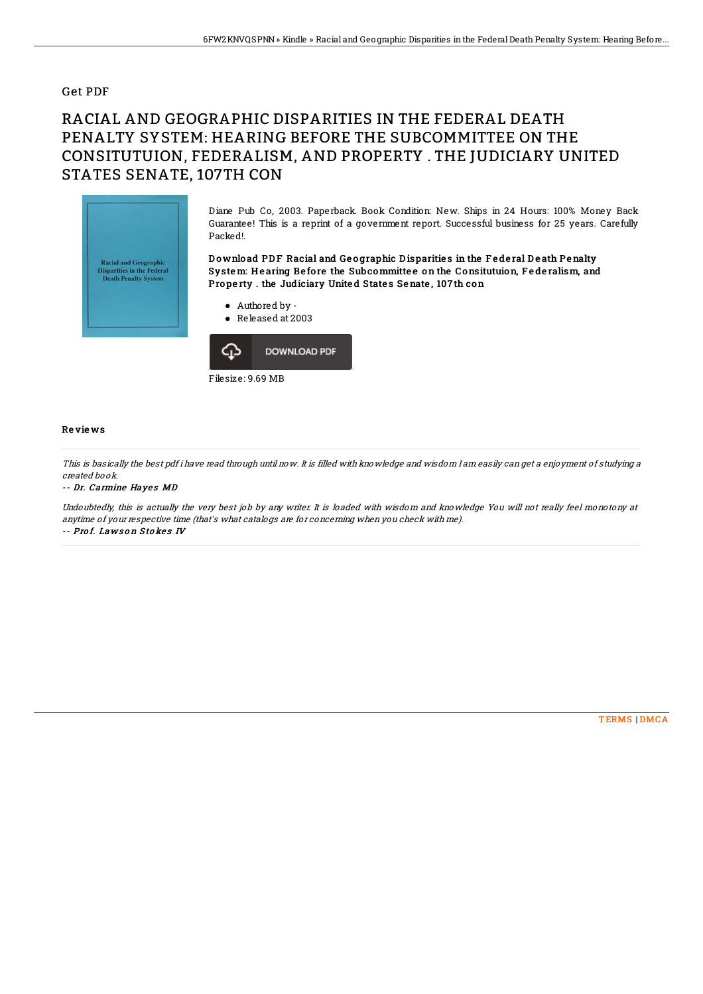## Get PDF

# RACIAL AND GEOGRAPHIC DISPARITIES IN THE FEDERAL DEATH PENALTY SYSTEM: HEARING BEFORE THE SUBCOMMITTEE ON THE CONSITUTUION, FEDERALISM, AND PROPERTY . THE JUDICIARY UNITED STATES SENATE, 107TH CON



Diane Pub Co, 2003. Paperback. Book Condition: New. Ships in 24 Hours: 100% Money Back Guarantee! This is a reprint of a government report. Successful business for 25 years. Carefully Packed!.

### Download PDF Racial and Geographic Disparities in the Federal Death Penalty System: Hearing Before the Subcommittee on the Consitutuion, Federalism, and Property . the Judiciary United States Senate, 107th con



Released at 2003



#### Re vie ws

This is basically the best pdf i have read through until now. It is filled with knowledge and wisdom I am easily can get <sup>a</sup> enjoyment of studying <sup>a</sup> created book.

#### -- Dr. Carmine Hayes MD

Undoubtedly, this is actually the very best job by any writer. It is loaded with wisdom and knowledge You will not really feel monotony at anytime of your respective time (that's what catalogs are for concerning when you check with me). -- Prof. Laws on Stokes IV